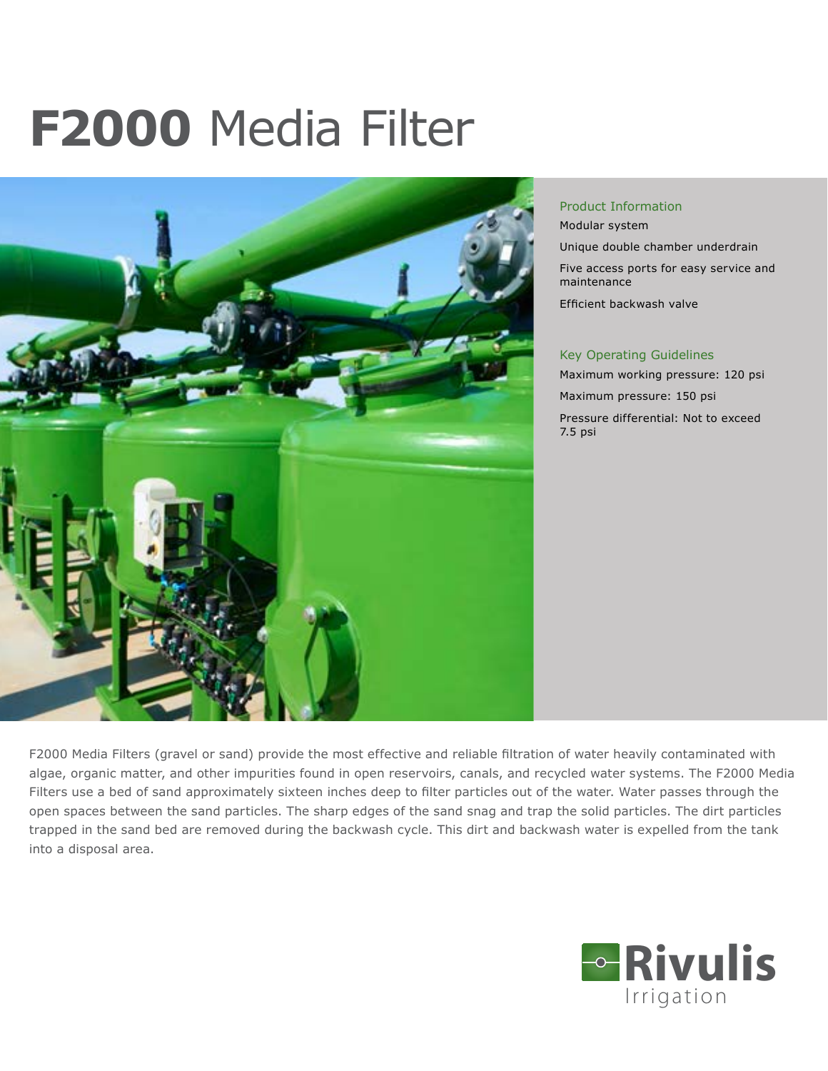

# Product Information

Modular system Unique double chamber underdrain Five access ports for easy service and maintenance

Efficient backwash valve

#### Key Operating Guidelines

Maximum working pressure: 120 psi Maximum pressure: 150 psi Pressure differential: Not to exceed 7.5 psi

F2000 Media Filters (gravel or sand) provide the most effective and reliable filtration of water heavily contaminated with algae, organic matter, and other impurities found in open reservoirs, canals, and recycled water systems. The F2000 Media Filters use a bed of sand approximately sixteen inches deep to filter particles out of the water. Water passes through the open spaces between the sand particles. The sharp edges of the sand snag and trap the solid particles. The dirt particles trapped in the sand bed are removed during the backwash cycle. This dirt and backwash water is expelled from the tank into a disposal area.

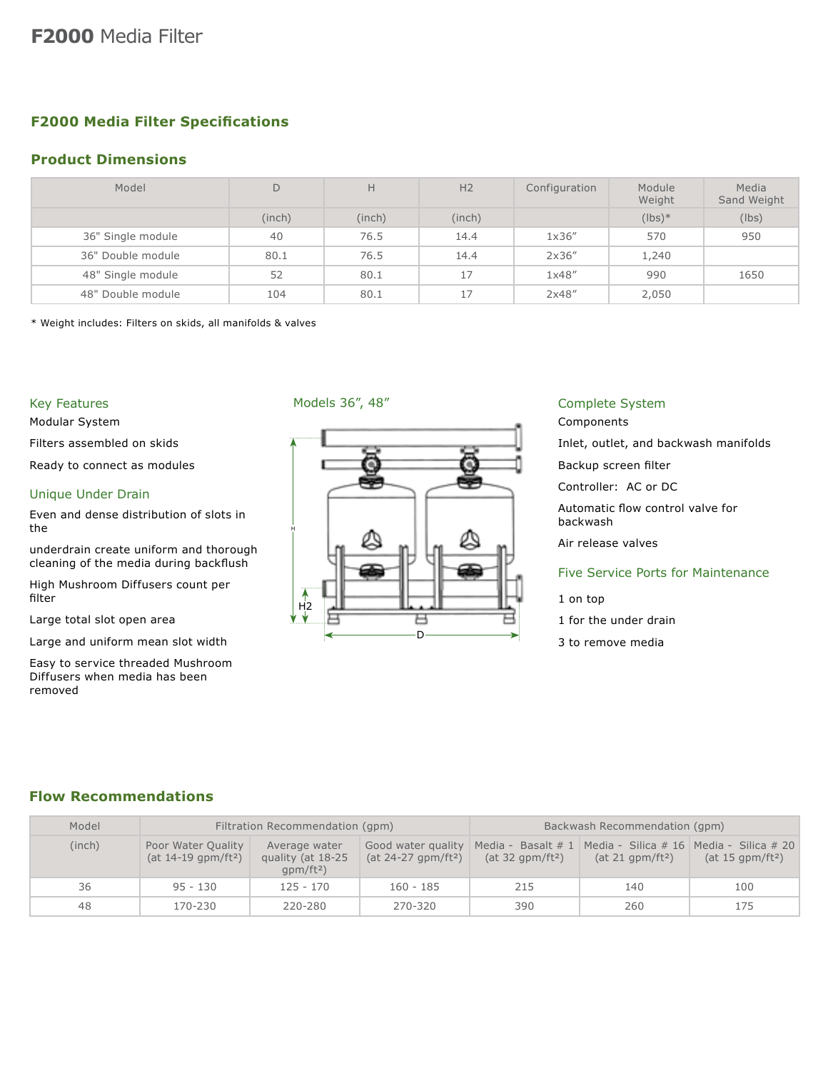# **F2000 Media Filter Specifications**

# **Product Dimensions**

| Model             | D      | Н      | H <sub>2</sub> | Configuration | Module<br>Weight | Media<br>Sand Weight |
|-------------------|--------|--------|----------------|---------------|------------------|----------------------|
|                   | (inch) | (inch) | (inch)         |               | $(lbs)*$         | (lbs)                |
| 36" Single module | 40     | 76.5   | 14.4           | 1x36"         | 570              | 950                  |
| 36" Double module | 80.1   | 76.5   | 14.4           | 2x36"         | 1,240            |                      |
| 48" Single module | 52     | 80.1   | 17             | 1x48''        | 990              | 1650                 |
| 48" Double module | 104    | 80.1   | 17             | 2x48"         | 2,050            |                      |

\* Weight includes: Filters on skids, all manifolds & valves

## Key Features

Modular System

Filters assembled on skids

Ready to connect as modules

#### Unique Under Drain

Even and dense distribution of slots in the

underdrain create uniform and thorough cleaning of the media during backflush

High Mushroom Diffusers count per filter

Large total slot open area

Large and uniform mean slot width

Easy to service threaded Mushroom Diffusers when media has been removed

#### Models 36", 48"



#### Complete System

Components Inlet, outlet, and backwash manifolds Backup screen filter Controller: AC or DC Automatic flow control valve for backwash Air release valves

#### Five Service Ports for Maintenance

- 1 on top
- 1 for the under drain
- 3 to remove media

### **Flow Recommendations**

| Model  |                                                         | Filtration Recommendation (qpm)                   |                                                         | Backwash Recommendation (qpm)                        |                              |                                                                           |  |
|--------|---------------------------------------------------------|---------------------------------------------------|---------------------------------------------------------|------------------------------------------------------|------------------------------|---------------------------------------------------------------------------|--|
| (inch) | Poor Water Quality<br>(at $14-19$ gpm/ft <sup>2</sup> ) | Average water<br>quality (at 18-25<br>$qpm/ft^2)$ | Good water quality<br>(at $24-27$ gpm/ft <sup>2</sup> ) | Media - Basalt $# 1$<br>(at 32 gpm/ft <sup>2</sup> ) | (at 21 gpm/ft <sup>2</sup> ) | Media - Silica # 16 Media - Silica # 20<br>(at $15$ gpm/ft <sup>2</sup> ) |  |
| 36     | $95 - 130$                                              | $125 - 170$                                       | $160 - 185$                                             | 215                                                  | 140                          | 100                                                                       |  |
| 48     | 170-230                                                 | 220-280                                           | 270-320                                                 | 390                                                  | 260                          | 175                                                                       |  |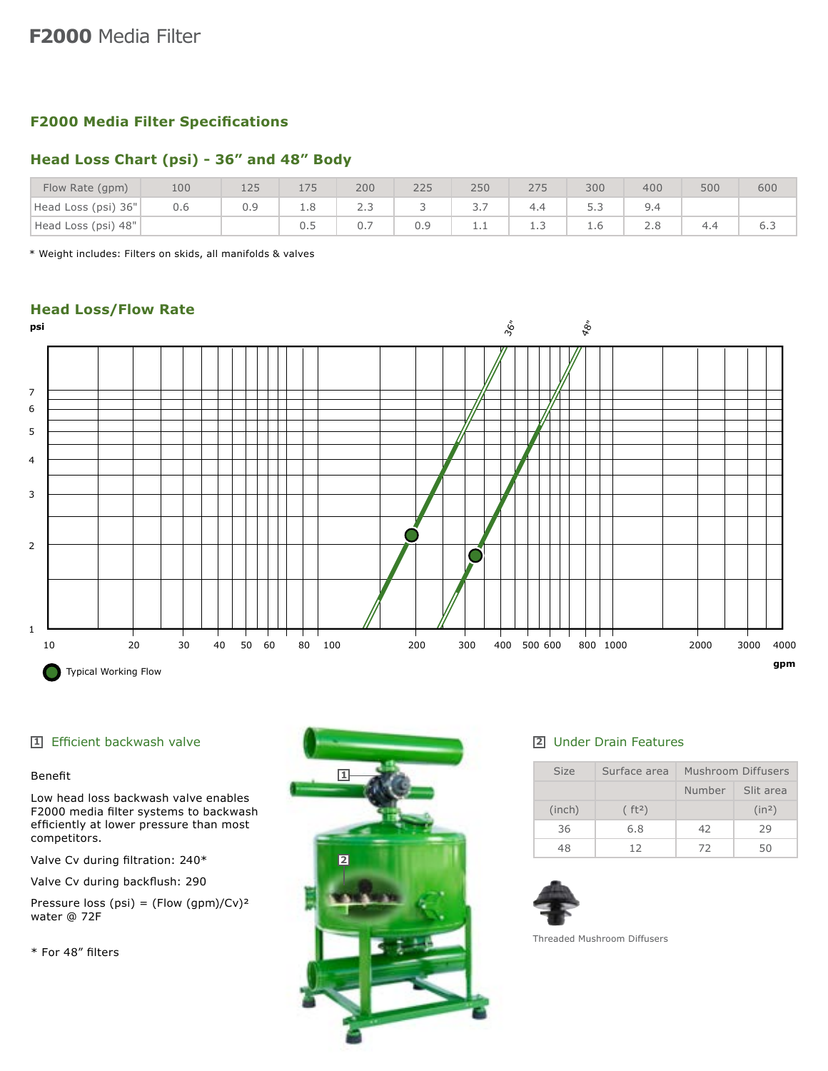# **F2000 Media Filter Specifications**

## **Head Loss Chart (psi) - 36" and 48" Body**

| Flow Rate (gpm)     | 100 | 125 | $\neg$ $\Gamma$ | 200                    | 225 | 250                               | 275 | 300   | 400 | 500 | 600 |
|---------------------|-----|-----|-----------------|------------------------|-----|-----------------------------------|-----|-------|-----|-----|-----|
| Head Loss (psi) 36" | 0.6 | 0.9 | T.Q             | $\sim$ $\sim$<br>د . ے |     | $\overline{\phantom{0}}$<br>، ، ب |     | ر . ر |     |     |     |
| Head Loss (psi) 48" |     |     | U.J             | U.,                    | 0.9 | .                                 | ر.  | L.b   | Z.ŏ | 4.4 | b.3 |

\* Weight includes: Filters on skids, all manifolds & valves

# **Head Loss/Flow Rate**



#### **1** Efficient backwash valve

#### Benefit

Low head loss backwash valve enables F2000 media filter systems to backwash efficiently at lower pressure than most competitors.

Valve Cv during filtration: 240\*

Valve Cv during backflush: 290

Pressure loss (psi) = (Flow (gpm)/Cv)² water @ 72F

\* For 48" filters



#### **2** Under Drain Features

| <b>Size</b> | Surface area       | Mushroom Diffusers  |                    |  |  |
|-------------|--------------------|---------------------|--------------------|--|--|
|             |                    | Number<br>Slit area |                    |  |  |
| (inch)      | (ft <sup>2</sup> ) |                     | (in <sup>2</sup> ) |  |  |
| 36          | 6.8                | 42                  | 29                 |  |  |
|             | 12                 | 72                  | 50                 |  |  |



Threaded Mushroom Diffusers